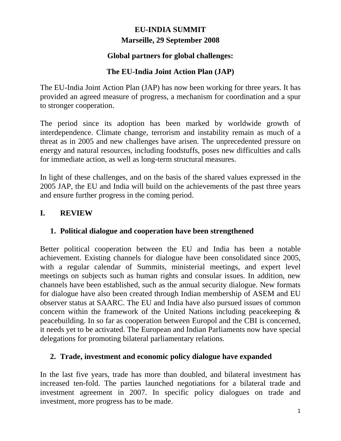# **EU-INDIA SUMMIT Marseille, 29 September 2008**

### **Global partners for global challenges:**

## **The EU-India Joint Action Plan (JAP)**

The EU-India Joint Action Plan (JAP) has now been working for three years. It has provided an agreed measure of progress, a mechanism for coordination and a spur to stronger cooperation.

The period since its adoption has been marked by worldwide growth of interdependence. Climate change, terrorism and instability remain as much of a threat as in 2005 and new challenges have arisen. The unprecedented pressure on energy and natural resources, including foodstuffs, poses new difficulties and calls for immediate action, as well as long-term structural measures.

In light of these challenges, and on the basis of the shared values expressed in the 2005 JAP, the EU and India will build on the achievements of the past three years and ensure further progress in the coming period.

### **I. REVIEW**

#### **1. Political dialogue and cooperation have been strengthened**

Better political cooperation between the EU and India has been a notable achievement. Existing channels for dialogue have been consolidated since 2005, with a regular calendar of Summits, ministerial meetings, and expert level meetings on subjects such as human rights and consular issues. In addition, new channels have been established, such as the annual security dialogue. New formats for dialogue have also been created through Indian membership of ASEM and EU observer status at SAARC. The EU and India have also pursued issues of common concern within the framework of the United Nations including peacekeeping & peacebuilding. In so far as cooperation between Europol and the CBI is concerned, it needs yet to be activated. The European and Indian Parliaments now have special delegations for promoting bilateral parliamentary relations.

#### **2. Trade, investment and economic policy dialogue have expanded**

In the last five years, trade has more than doubled, and bilateral investment has increased ten-fold. The parties launched negotiations for a bilateral trade and investment agreement in 2007. In specific policy dialogues on trade and investment, more progress has to be made.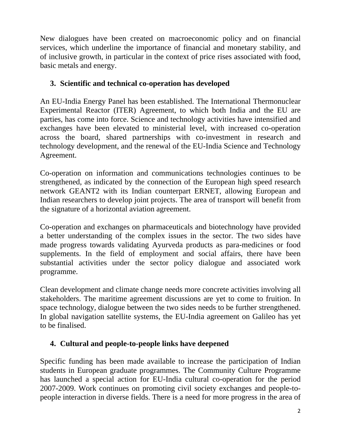New dialogues have been created on macroeconomic policy and on financial services, which underline the importance of financial and monetary stability, and of inclusive growth, in particular in the context of price rises associated with food, basic metals and energy.

## **3. Scientific and technical co-operation has developed**

An EU-India Energy Panel has been established. The International Thermonuclear Experimental Reactor (ITER) Agreement, to which both India and the EU are parties, has come into force. Science and technology activities have intensified and exchanges have been elevated to ministerial level, with increased co-operation across the board, shared partnerships with co-investment in research and technology development, and the renewal of the EU-India Science and Technology Agreement.

Co-operation on information and communications technologies continues to be strengthened, as indicated by the connection of the European high speed research network GEANT2 with its Indian counterpart ERNET, allowing European and Indian researchers to develop joint projects. The area of transport will benefit from the signature of a horizontal aviation agreement.

Co-operation and exchanges on pharmaceuticals and biotechnology have provided a better understanding of the complex issues in the sector. The two sides have made progress towards validating Ayurveda products as para-medicines or food supplements. In the field of employment and social affairs, there have been substantial activities under the sector policy dialogue and associated work programme.

Clean development and climate change needs more concrete activities involving all stakeholders. The maritime agreement discussions are yet to come to fruition. In space technology, dialogue between the two sides needs to be further strengthened. In global navigation satellite systems, the EU-India agreement on Galileo has yet to be finalised.

## **4. Cultural and people-to-people links have deepened**

Specific funding has been made available to increase the participation of Indian students in European graduate programmes. The Community Culture Programme has launched a special action for EU-India cultural co-operation for the period 2007-2009. Work continues on promoting civil society exchanges and people-topeople interaction in diverse fields. There is a need for more progress in the area of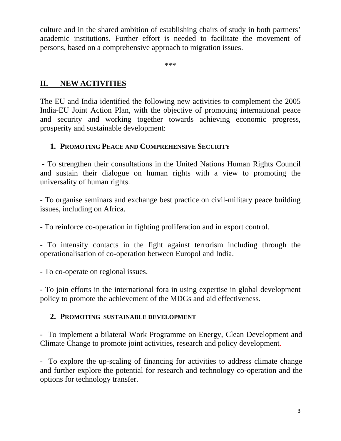culture and in the shared ambition of establishing chairs of study in both partners' academic institutions. Further effort is needed to facilitate the movement of persons, based on a comprehensive approach to migration issues.

\*\*\*

## **II. NEW ACTIVITIES**

The EU and India identified the following new activities to complement the 2005 India-EU Joint Action Plan, with the objective of promoting international peace and security and working together towards achieving economic progress, prosperity and sustainable development:

### **1. PROMOTING PEACE AND COMPREHENSIVE SECURITY**

 **-** To strengthen their consultations in the United Nations Human Rights Council and sustain their dialogue on human rights with a view to promoting the universality of human rights.

- To organise seminars and exchange best practice on civil-military peace building issues, including on Africa.

*-* To reinforce co-operation in fighting proliferation and in export control.

- To intensify contacts in the fight against terrorism including through the operationalisation of co-operation between Europol and India.

- To co-operate on regional issues.

- To join efforts in the international fora in using expertise in global development policy to promote the achievement of the MDGs and aid effectiveness.

#### **2. PROMOTING SUSTAINABLE DEVELOPMENT**

- To implement a bilateral Work Programme on Energy, Clean Development and Climate Change to promote joint activities, research and policy development.

- To explore the up-scaling of financing for activities to address climate change and further explore the potential for research and technology co-operation and the options for technology transfer.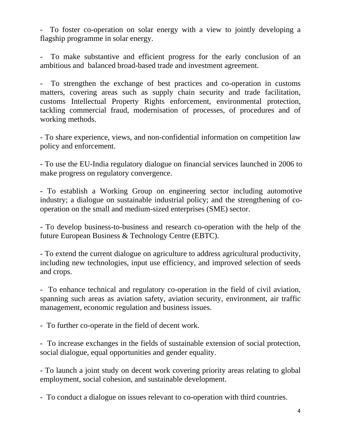- To foster co-operation on solar energy with a view to jointly developing a flagship programme in solar energy.

To make substantive and efficient progress for the early conclusion of an ambitious and balanced broad-based trade and investment agreement.

- To strengthen the exchange of best practices and co-operation in customs matters, covering areas such as supply chain security and trade facilitation, customs Intellectual Property Rights enforcement, environmental protection, tackling commercial fraud, modernisation of processes, of procedures and of working methods.

- To share experience, views, and non-confidential information on competition law policy and enforcement.

- To use the EU-India regulatory dialogue on financial services launched in 2006 to make progress on regulatory convergence.

- To establish a Working Group on engineering sector including automotive industry; a dialogue on sustainable industrial policy; and the strengthening of cooperation on the small and medium-sized enterprises (SME) sector.

- To develop business-to-business and research co-operation with the help of the future European Business & Technology Centre (EBTC).

- To extend the current dialogue on agriculture to address agricultural productivity, including new technologies, input use efficiency, and improved selection of seeds and crops.

- To enhance technical and regulatory co-operation in the field of civil aviation, spanning such areas as aviation safety, aviation security, environment, air traffic management, economic regulation and business issues.

- To further co-operate in the field of decent work.

- To increase exchanges in the fields of sustainable extension of social protection, social dialogue, equal opportunities and gender equality.

- To launch a joint study on decent work covering priority areas relating to global employment, social cohesion, and sustainable development.

- To conduct a dialogue on issues relevant to co-operation with third countries.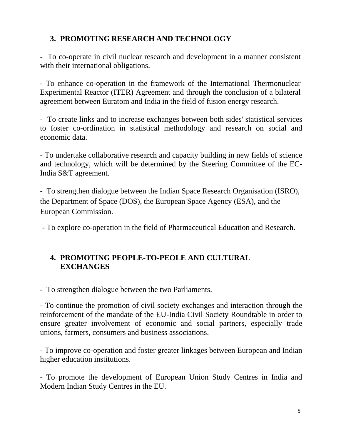# **3. PROMOTING RESEARCH AND TECHNOLOGY**

- To co-operate in civil nuclear research and development in a manner consistent with their international obligations.

- To enhance co-operation in the framework of the International Thermonuclear Experimental Reactor (ITER) Agreement and through the conclusion of a bilateral agreement between Euratom and India in the field of fusion energy research.

- To create links and to increase exchanges between both sides' statistical services to foster co-ordination in statistical methodology and research on social and economic data.

- To undertake collaborative research and capacity building in new fields of science and technology, which will be determined by the Steering Committee of the EC-India S&T agreement.

- To strengthen dialogue between the Indian Space Research Organisation (ISRO), the Department of Space (DOS), the European Space Agency (ESA), and the European Commission.

- To explore co-operation in the field of Pharmaceutical Education and Research.

## **4. PROMOTING PEOPLE-TO-PEOLE AND CULTURAL EXCHANGES**

- To strengthen dialogue between the two Parliaments.

- To continue the promotion of civil society exchanges and interaction through the reinforcement of the mandate of the EU-India Civil Society Roundtable in order to ensure greater involvement of economic and social partners, especially trade unions, farmers, consumers and business associations.

- To improve co-operation and foster greater linkages between European and Indian higher education institutions.

- To promote the development of European Union Study Centres in India and Modern Indian Study Centres in the EU.